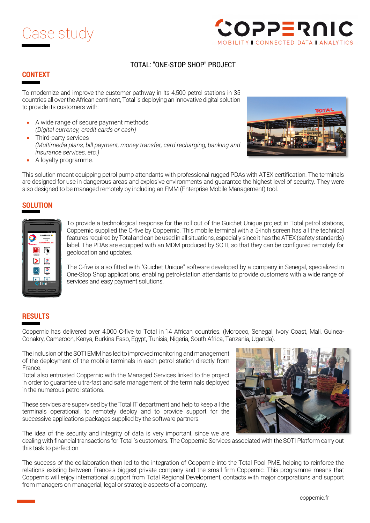



## TOTAL: "ONE-STOP SHOP" PROJECT

## **CONTEXT**

To modernize and improve the customer pathway in its 4,500 petrol stations in 35 countries all over the African continent, Total is deploying an innovative digital solution to provide its customers with:

- A wide range of secure payment methods *(Digital currency, credit cards or cash)*
- Third-party services *(Multimedia plans, bill payment, money transfer, card recharging, banking and insurance services, etc.)*
- A loyalty programme.



This solution meant equipping petrol pump attendants with professional rugged PDAs with ATEX certification. The terminals are designed for use in dangerous areas and explosive environments and guarantee the highest level of security. They were also designed to be managed remotely by including an EMM (Enterprise Mobile Management) tool.

## **SOLUTION**



To provide a technological response for the roll out of the Guichet Unique project in Total petrol stations, Coppernic supplied the C-five by Coppernic. This mobile terminal with a 5-inch screen has all the technical features required by Total and can be used in all situations, especially since it has the ATEX (safety standards) label. The PDAs are equipped with an MDM produced by SOTI, so that they can be configured remotely for geolocation and updates.

The C-five is also fitted with "Guichet Unique" software developed by a company in Senegal, specialized in One-Stop Shop applications, enabling petrol-station attendants to provide customers with a wide range of services and easy payment solutions.

## **RESULTS**

Coppernic has delivered over 4,000 C-five to Total in 14 African countries. (Morocco, Senegal, Ivory Coast, Mali, Guinea-Conakry, Cameroon, Kenya, Burkina Faso, Egypt, Tunisia, Nigeria, South Africa, Tanzania, Uganda).

The inclusion of the SOTI EMM has led to improved monitoring and management of the deployment of the mobile terminals in each petrol station directly from France.

Total also entrusted Coppernic with the Managed Services linked to the project in order to guarantee ultra-fast and safe management of the terminals deployed in the numerous petrol stations.

These services are supervised by the Total IT department and help to keep all the terminals operational, to remotely deploy and to provide support for the successive applications packages supplied by the software partners.

The idea of the security and integrity of data is very important, since we are

dealing with financial transactions for Total 's customers. The Coppernic Services associated with the SOTI Platform carry out this task to perfection.

The success of the collaboration then led to the integration of Coppernic into the Total Pool PME, helping to reinforce the relations existing between France's biggest private company and the small firm Coppernic. This programme means that Coppernic will enjoy international support from Total Regional Development, contacts with major corporations and support from managers on managerial, legal or strategic aspects of a company.